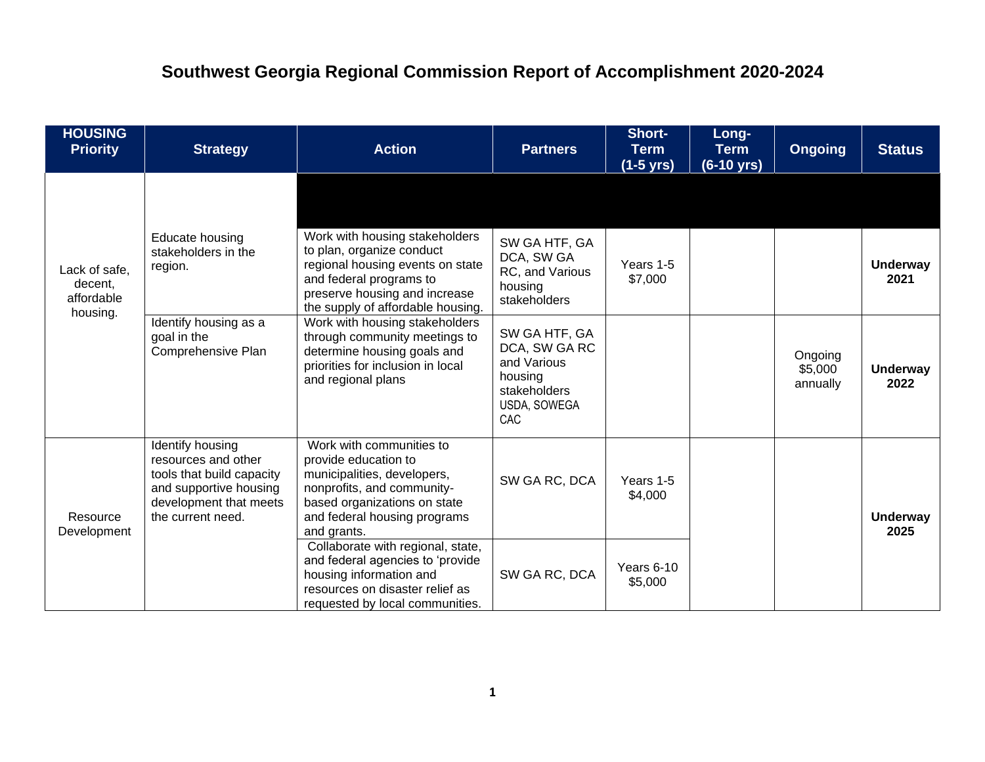## **Southwest Georgia Regional Commission Report of Accomplishment 2020-2024**

| <b>HOUSING</b><br><b>Priority</b>                  | <b>Strategy</b>                                                                                                                               | <b>Action</b>                                                                                                                                                                                    | <b>Partners</b>                                                                                 | Short-<br><b>Term</b><br>$(1-5 \text{ yrs})$ | Long-<br><b>Term</b><br>(6-10 yrs) | <b>Ongoing</b>                 | <b>Status</b>           |
|----------------------------------------------------|-----------------------------------------------------------------------------------------------------------------------------------------------|--------------------------------------------------------------------------------------------------------------------------------------------------------------------------------------------------|-------------------------------------------------------------------------------------------------|----------------------------------------------|------------------------------------|--------------------------------|-------------------------|
| Lack of safe,<br>decent,<br>affordable<br>housing. |                                                                                                                                               |                                                                                                                                                                                                  |                                                                                                 |                                              |                                    |                                |                         |
|                                                    | Educate housing<br>stakeholders in the<br>region.                                                                                             | Work with housing stakeholders<br>to plan, organize conduct<br>regional housing events on state<br>and federal programs to<br>preserve housing and increase<br>the supply of affordable housing. | SW GA HTF, GA<br>DCA, SW GA<br>RC, and Various<br>housing<br>stakeholders                       | Years 1-5<br>\$7,000                         |                                    |                                | <b>Underway</b><br>2021 |
|                                                    | Identify housing as a<br>goal in the<br>Comprehensive Plan                                                                                    | Work with housing stakeholders<br>through community meetings to<br>determine housing goals and<br>priorities for inclusion in local<br>and regional plans                                        | SW GA HTF, GA<br>DCA, SW GA RC<br>and Various<br>housing<br>stakeholders<br>USDA, SOWEGA<br>CAC |                                              |                                    | Ongoing<br>\$5,000<br>annually | <b>Underway</b><br>2022 |
| Resource<br>Development                            | Identify housing<br>resources and other<br>tools that build capacity<br>and supportive housing<br>development that meets<br>the current need. | Work with communities to<br>provide education to<br>municipalities, developers,<br>nonprofits, and community-<br>based organizations on state<br>and federal housing programs<br>and grants.     | SW GA RC, DCA                                                                                   | Years 1-5<br>\$4,000                         |                                    |                                | <b>Underway</b><br>2025 |
|                                                    |                                                                                                                                               | Collaborate with regional, state,<br>and federal agencies to 'provide<br>housing information and<br>resources on disaster relief as<br>requested by local communities.                           | SW GA RC, DCA                                                                                   | Years 6-10<br>\$5,000                        |                                    |                                |                         |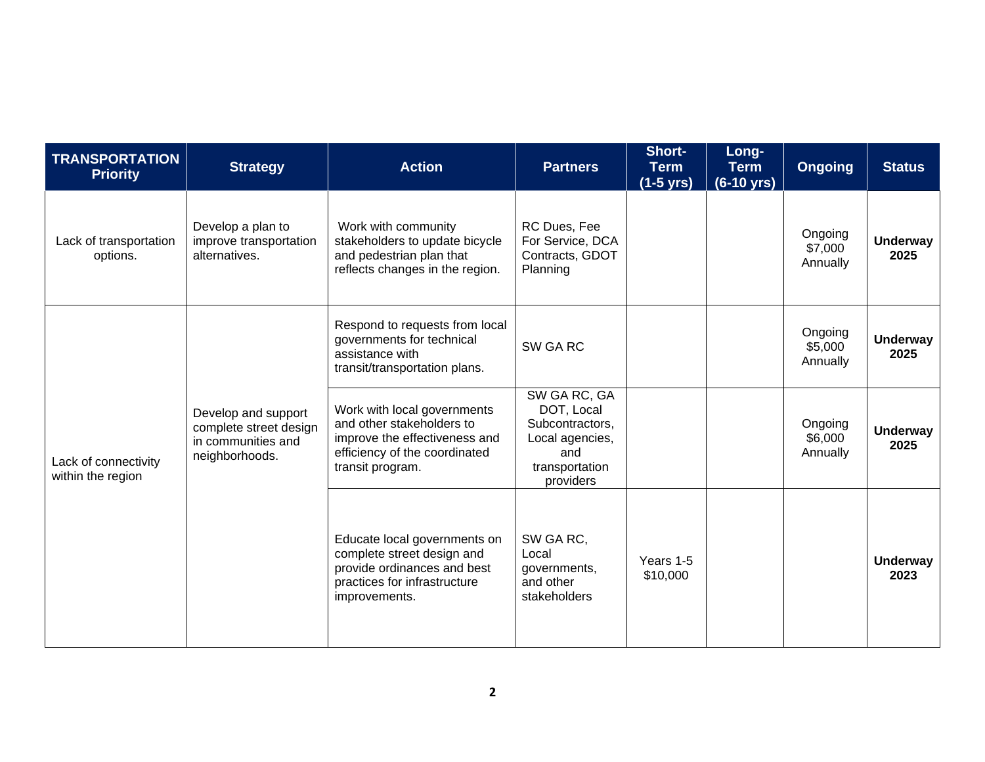| <b>TRANSPORTATION</b><br><b>Priority</b>  | <b>Strategy</b>                                                                       | <b>Action</b>                                                                                                                                  | <b>Partners</b>                                                                                        | Short-<br><b>Term</b><br>$(1-5$ yrs) | Long-<br><b>Term</b><br>$(6-10 \text{ yrs})$ | <b>Ongoing</b>                 | <b>Status</b>           |
|-------------------------------------------|---------------------------------------------------------------------------------------|------------------------------------------------------------------------------------------------------------------------------------------------|--------------------------------------------------------------------------------------------------------|--------------------------------------|----------------------------------------------|--------------------------------|-------------------------|
| Lack of transportation<br>options.        | Develop a plan to<br>improve transportation<br>alternatives.                          | Work with community<br>stakeholders to update bicycle<br>and pedestrian plan that<br>reflects changes in the region.                           | RC Dues, Fee<br>For Service, DCA<br>Contracts, GDOT<br>Planning                                        |                                      |                                              | Ongoing<br>\$7,000<br>Annually | <b>Underway</b><br>2025 |
|                                           |                                                                                       | Respond to requests from local<br>governments for technical<br>assistance with<br>transit/transportation plans.                                | SW GA RC                                                                                               |                                      |                                              | Ongoing<br>\$5,000<br>Annually | <b>Underway</b><br>2025 |
| Lack of connectivity<br>within the region | Develop and support<br>complete street design<br>in communities and<br>neighborhoods. | Work with local governments<br>and other stakeholders to<br>improve the effectiveness and<br>efficiency of the coordinated<br>transit program. | SW GA RC, GA<br>DOT, Local<br>Subcontractors,<br>Local agencies,<br>and<br>transportation<br>providers |                                      |                                              | Ongoing<br>\$6,000<br>Annually | <b>Underway</b><br>2025 |
|                                           |                                                                                       | Educate local governments on<br>complete street design and<br>provide ordinances and best<br>practices for infrastructure<br>improvements.     | SW GA RC,<br>Local<br>governments,<br>and other<br>stakeholders                                        | Years 1-5<br>\$10,000                |                                              |                                | <b>Underway</b><br>2023 |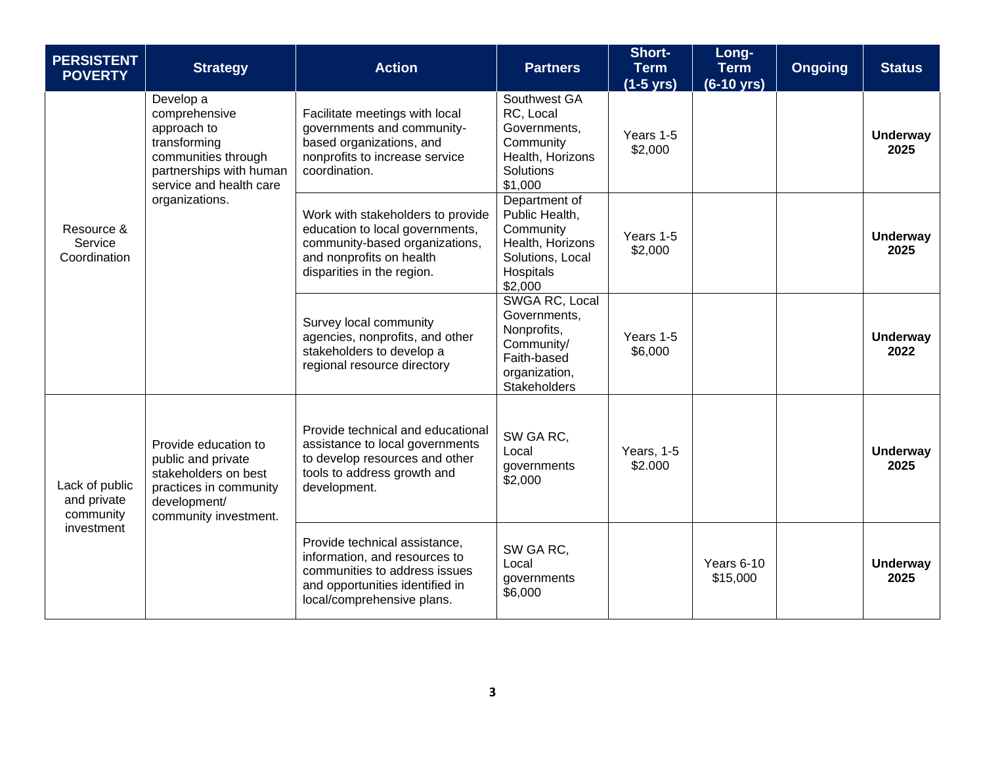| <b>PERSISTENT</b><br><b>POVERTY</b>                      | <b>Strategy</b>                                                                                                                                          | <b>Action</b>                                                                                                                                                    | <b>Partners</b>                                                                                                    | Short-<br><b>Term</b><br>(1-5 yrs) | Long-<br><b>Term</b><br>$(6-10 \text{ yrs})$ | <b>Ongoing</b> | <b>Status</b>           |
|----------------------------------------------------------|----------------------------------------------------------------------------------------------------------------------------------------------------------|------------------------------------------------------------------------------------------------------------------------------------------------------------------|--------------------------------------------------------------------------------------------------------------------|------------------------------------|----------------------------------------------|----------------|-------------------------|
| Resource &<br>Service<br>Coordination                    | Develop a<br>comprehensive<br>approach to<br>transforming<br>communities through<br>partnerships with human<br>service and health care<br>organizations. | Facilitate meetings with local<br>governments and community-<br>based organizations, and<br>nonprofits to increase service<br>coordination.                      | Southwest GA<br>RC, Local<br>Governments,<br>Community<br>Health, Horizons<br>Solutions<br>\$1,000                 | Years 1-5<br>\$2,000               |                                              |                | <b>Underway</b><br>2025 |
|                                                          |                                                                                                                                                          | Work with stakeholders to provide<br>education to local governments,<br>community-based organizations,<br>and nonprofits on health<br>disparities in the region. | Department of<br>Public Health,<br>Community<br>Health, Horizons<br>Solutions, Local<br>Hospitals<br>\$2,000       | Years 1-5<br>\$2,000               |                                              |                | <b>Underway</b><br>2025 |
|                                                          |                                                                                                                                                          | Survey local community<br>agencies, nonprofits, and other<br>stakeholders to develop a<br>regional resource directory                                            | SWGA RC, Local<br>Governments,<br>Nonprofits,<br>Community/<br>Faith-based<br>organization,<br><b>Stakeholders</b> | Years 1-5<br>\$6,000               |                                              |                | <b>Underway</b><br>2022 |
| Lack of public<br>and private<br>community<br>investment | Provide education to<br>public and private<br>stakeholders on best<br>practices in community<br>development/<br>community investment.                    | Provide technical and educational<br>assistance to local governments<br>to develop resources and other<br>tools to address growth and<br>development.            | SW GA RC.<br>Local<br>governments<br>\$2,000                                                                       | Years, 1-5<br>\$2.000              |                                              |                | <b>Underway</b><br>2025 |
|                                                          |                                                                                                                                                          | Provide technical assistance,<br>information, and resources to<br>communities to address issues<br>and opportunities identified in<br>local/comprehensive plans. | SW GA RC,<br>Local<br>governments<br>\$6,000                                                                       |                                    | Years 6-10<br>\$15,000                       |                | <b>Underway</b><br>2025 |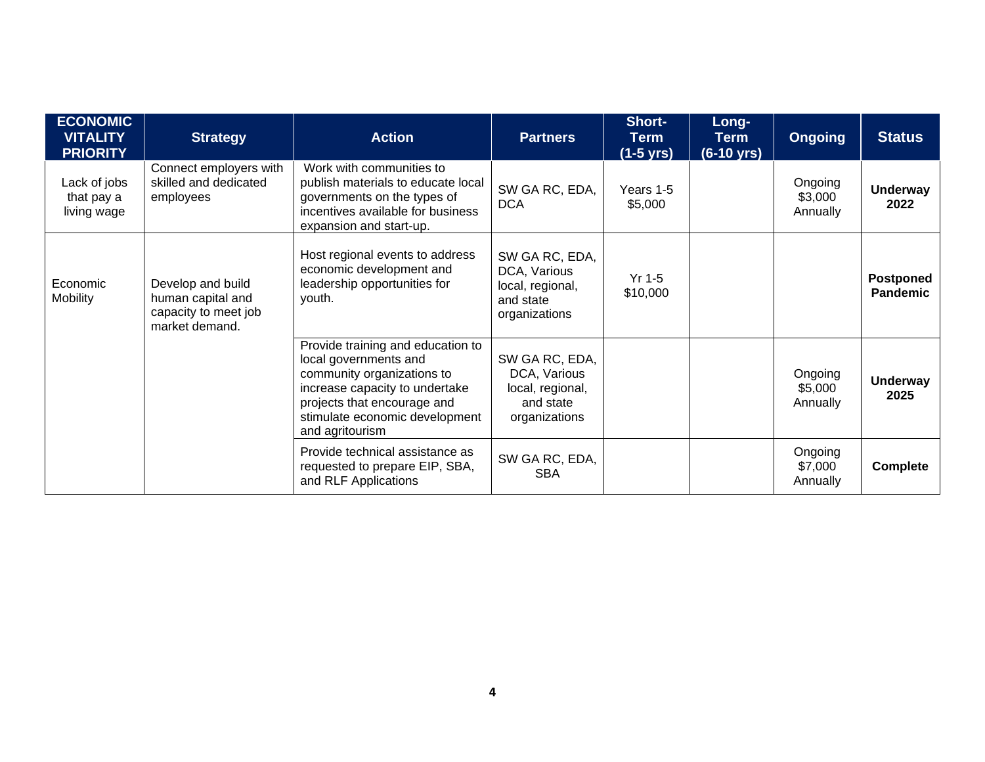| <b>ECONOMIC</b><br><b>VITALITY</b><br><b>PRIORITY</b> | <b>Strategy</b>                                                                  | <b>Action</b>                                                                                                                                                                                                  | <b>Partners</b>                                                                  | Short-<br><b>Term</b><br>$(1-5$ yrs) | Long-<br><b>Term</b><br>$(6-10 \text{ yrs})$ | <b>Ongoing</b>                 | <b>Status</b>                       |
|-------------------------------------------------------|----------------------------------------------------------------------------------|----------------------------------------------------------------------------------------------------------------------------------------------------------------------------------------------------------------|----------------------------------------------------------------------------------|--------------------------------------|----------------------------------------------|--------------------------------|-------------------------------------|
| Lack of jobs<br>that pay a<br>living wage             | Connect employers with<br>skilled and dedicated<br>employees                     | Work with communities to<br>publish materials to educate local<br>governments on the types of<br>incentives available for business<br>expansion and start-up.                                                  | SW GA RC, EDA,<br><b>DCA</b>                                                     | Years 1-5<br>\$5,000                 |                                              | Ongoing<br>\$3,000<br>Annually | <b>Underway</b><br>2022             |
| Economic<br><b>Mobility</b>                           | Develop and build<br>human capital and<br>capacity to meet job<br>market demand. | Host regional events to address<br>economic development and<br>leadership opportunities for<br>youth.                                                                                                          | SW GA RC, EDA,<br>DCA, Various<br>local, regional,<br>and state<br>organizations | $Yr$ 1-5<br>\$10,000                 |                                              |                                | <b>Postponed</b><br><b>Pandemic</b> |
|                                                       |                                                                                  | Provide training and education to<br>local governments and<br>community organizations to<br>increase capacity to undertake<br>projects that encourage and<br>stimulate economic development<br>and agritourism | SW GA RC, EDA,<br>DCA, Various<br>local, regional,<br>and state<br>organizations |                                      |                                              | Ongoing<br>\$5,000<br>Annually | <b>Underway</b><br>2025             |
|                                                       |                                                                                  | Provide technical assistance as<br>requested to prepare EIP, SBA,<br>and RLF Applications                                                                                                                      | SW GA RC, EDA,<br><b>SBA</b>                                                     |                                      |                                              | Ongoing<br>\$7,000<br>Annually | <b>Complete</b>                     |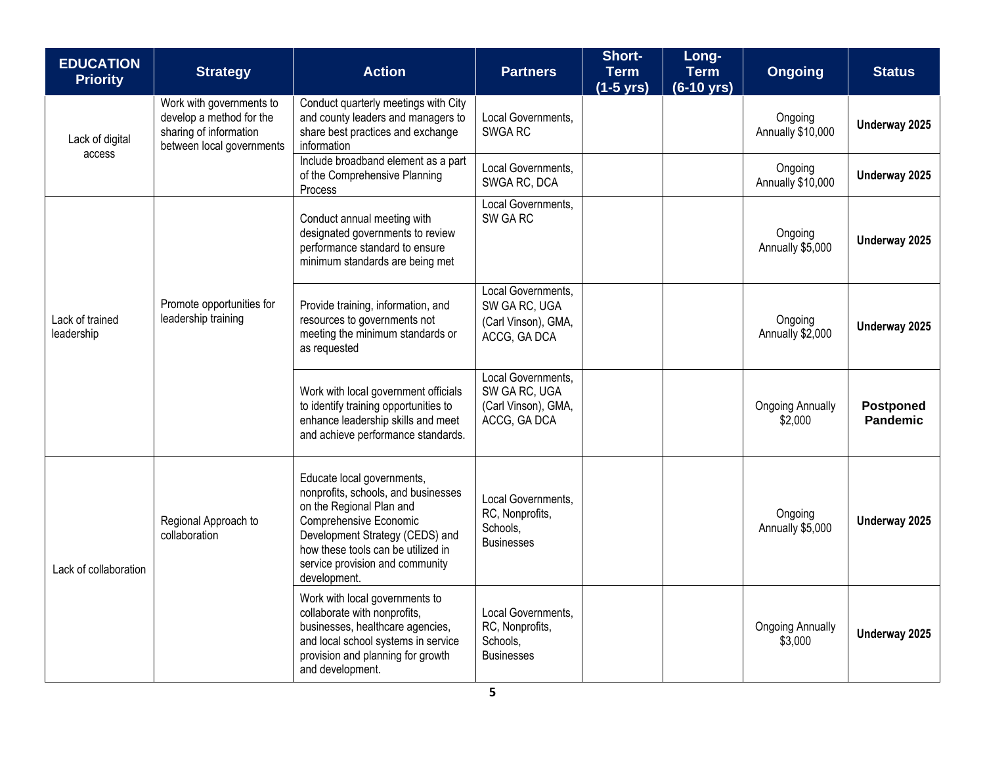| <b>EDUCATION</b><br><b>Priority</b> | <b>Strategy</b>                                                                                             | <b>Action</b>                                                                                                                                                                                                                                       | <b>Partners</b>                                                            | <b>Short-</b><br><b>Term</b><br>$(1-5$ yrs) | Long-<br><b>Term</b><br>$(6-10 \text{ yrs})$ | <b>Ongoing</b>                     | <b>Status</b>                |
|-------------------------------------|-------------------------------------------------------------------------------------------------------------|-----------------------------------------------------------------------------------------------------------------------------------------------------------------------------------------------------------------------------------------------------|----------------------------------------------------------------------------|---------------------------------------------|----------------------------------------------|------------------------------------|------------------------------|
| Lack of digital<br>access           | Work with governments to<br>develop a method for the<br>sharing of information<br>between local governments | Conduct quarterly meetings with City<br>and county leaders and managers to<br>share best practices and exchange<br>information                                                                                                                      | Local Governments,<br>SWGA RC                                              |                                             |                                              | Ongoing<br>Annually \$10,000       | Underway 2025                |
|                                     |                                                                                                             | Include broadband element as a part<br>of the Comprehensive Planning<br>Process                                                                                                                                                                     | Local Governments.<br>SWGA RC, DCA                                         |                                             |                                              | Ongoing<br>Annually \$10,000       | Underway 2025                |
| Lack of trained<br>leadership       | Promote opportunities for<br>leadership training                                                            | Conduct annual meeting with<br>designated governments to review<br>performance standard to ensure<br>minimum standards are being met                                                                                                                | Local Governments,<br>SW GA RC                                             |                                             |                                              | Ongoing<br>Annually \$5,000        | Underway 2025                |
|                                     |                                                                                                             | Provide training, information, and<br>resources to governments not<br>meeting the minimum standards or<br>as requested                                                                                                                              | Local Governments,<br>SW GA RC, UGA<br>(Carl Vinson), GMA,<br>ACCG, GA DCA |                                             |                                              | Ongoing<br>Annually \$2,000        | Underway 2025                |
|                                     |                                                                                                             | Work with local government officials<br>to identify training opportunities to<br>enhance leadership skills and meet<br>and achieve performance standards.                                                                                           | Local Governments,<br>SW GA RC, UGA<br>(Carl Vinson), GMA,<br>ACCG, GA DCA |                                             |                                              | <b>Ongoing Annually</b><br>\$2,000 | <b>Postponed</b><br>Pandemic |
| Lack of collaboration               | Regional Approach to<br>collaboration                                                                       | Educate local governments,<br>nonprofits, schools, and businesses<br>on the Regional Plan and<br>Comprehensive Economic<br>Development Strategy (CEDS) and<br>how these tools can be utilized in<br>service provision and community<br>development. | Local Governments,<br>RC, Nonprofits,<br>Schools,<br><b>Businesses</b>     |                                             |                                              | Ongoing<br>Annually \$5,000        | Underway 2025                |
|                                     |                                                                                                             | Work with local governments to<br>collaborate with nonprofits,<br>businesses, healthcare agencies,<br>and local school systems in service<br>provision and planning for growth<br>and development.                                                  | Local Governments,<br>RC, Nonprofits,<br>Schools,<br><b>Businesses</b>     |                                             |                                              | <b>Ongoing Annually</b><br>\$3,000 | Underway 2025                |